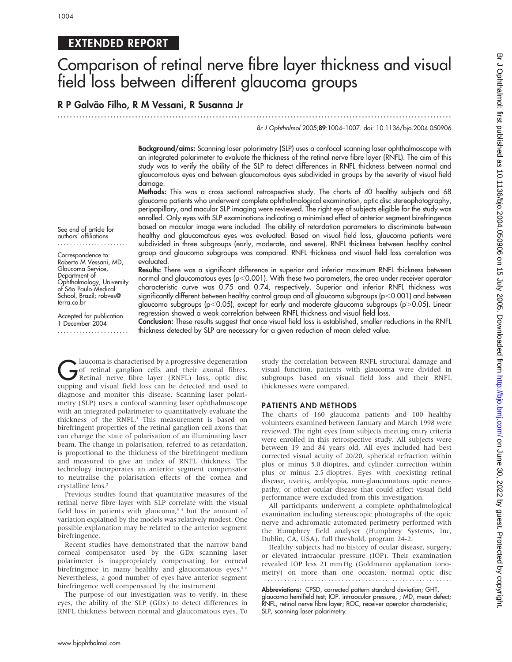# EXTENDED REPORT

# Comparison of retinal nerve fibre layer thickness and visual field loss between different glaucoma groups

## R P Galvão Filho, R M Vessani, R Susanna Jr

# ...............................................................................................................................

## Br J Ophthalmol 2005;89:1004–1007. doi: 10.1136/bjo.2004.050906

Background/aims: Scanning laser polarimetry (SLP) uses a confocal scanning laser ophthalmoscope with an integrated polarimeter to evaluate the thickness of the retinal nerve fibre layer (RNFL). The aim of this study was to verify the ability of the SLP to detect differences in RNFL thickness between normal and glaucomatous eyes and between glaucomatous eyes subdivided in groups by the severity of visual field damage.

Methods: This was a cross sectional retrospective study. The charts of 40 healthy subjects and 68 glaucoma patients who underwent complete ophthalmological examination, optic disc stereophotography, peripapillary, and macular SLP imaging were reviewed. The right eye of subjects eligible for the study was enrolled. Only eyes with SLP examinations indicating a minimised effect of anterior segment birefringence based on macular image were included. The ability of retardation parameters to discriminate between healthy and glaucomatous eyes was evaluated. Based on visual field loss, glaucoma patients were subdivided in three subgroups (early, moderate, and severe). RNFL thickness between healthy control group and glaucoma subgroups was compared. RNFL thickness and visual field loss correlation was evaluated.

Results: There was a significant difference in superior and inferior maximum RNFL thickness between normal and glaucomatous eyes ( $p$ <0.001). With these two parameters, the area under receiver operator characteristic curve was 0.75 and 0.74, respectively. Superior and inferior RNFL thickness was significantly different between healthy control group and all glaucoma subgroups (p $<$ 0.001) and between glaucoma subgroups (p<0.05), except for early and moderate glaucoma subgroups (p $>0.05$ ). Linear regression showed a weak correlation between RNFL thickness and visual field loss.

Accepted for publication 1 December 2004 .......................

terra.co.br

Ophthalmology, University ot São Paulo Medical School, Brazil; robves@

See end of article for authors' affiliations ....................... Correspondence to: Roberto M Vessani, MD, Glaucoma Service, Department of

> Conclusion: These results suggest that once visual field loss is established, smaller reductions in the RNFL thickness detected by SLP are necessary for a given reduction of mean defect value.

Glaucoma is characterised by a progressive degeneration<br>
of retinal ganglion cells and their axonal fibres.<br>
Retinal nerve fibre layer (RNFL) loss, optic disc<br>
cupping and visual field loss can be detected and used to of retinal ganglion cells and their axonal fibres. cupping and visual field loss can be detected and used to diagnose and monitor this disease. Scanning laser polarimetry (SLP) uses a confocal scanning laser ophthalmoscope with an integrated polarimeter to quantitatively evaluate the thickness of the RNFL.<sup>1</sup> This measurement is based on birefringent properties of the retinal ganglion cell axons that can change the state of polarisation of an illuminating laser beam. The change in polarisation, referred to as retardation, is proportional to the thickness of the birefringent medium and measured to give an index of RNFL thickness. The technology incorporates an anterior segment compensator to neutralise the polarisation effects of the cornea and crystalline lens.<sup>2</sup>

Previous studies found that quantitative measures of the retinal nerve fibre layer with SLP correlate with the visual field loss in patients with glaucoma, $3/4$  but the amount of variation explained by the models was relatively modest. One possible explanation may be related to the anterior segment birefringence.

Recent studies have demonstrated that the narrow band corneal compensator used by the GDx scanning laser polarimeter is inappropriately compensating for corneal birefringence in many healthy and glaucomatous eyes.<sup>5 6</sup> Nevertheless, a good number of eyes have anterior segment birefringence well compensated by the instrument.

The purpose of our investigation was to verify, in these eyes, the ability of the SLP (GDx) to detect differences in RNFL thickness between normal and glaucomatous eyes. To

study the correlation between RNFL structural damage and visual function, patients with glaucoma were divided in subgroups based on visual field loss and their RNFL thicknesses were compared.

#### PATIENTS AND METHODS

The charts of 160 glaucoma patients and 100 healthy volunteers examined between January and March 1998 were reviewed. The right eyes from subjects meeting entry criteria were enrolled in this retrospective study. All subjects were between 19 and 84 years old. All eyes included had best corrected visual acuity of 20/20, spherical refraction within plus or minus 5.0 dioptres, and cylinder correction within plus or minus 2.5 dioptres. Eyes with coexisting retinal disease, uveitis, amblyopia, non-glaucomatous optic neuropathy, or other ocular disease that could affect visual field performance were excluded from this investigation.

All participants underwent a complete ophthalmological examination including stereoscopic photographs of the optic nerve and achromatic automated perimetry performed with the Humphrey field analyser (Humphrey Systems, Inc, Dublin, CA, USA), full threshold, program 24-2.

Healthy subjects had no history of ocular disease, surgery, or elevated intraocular pressure (IOP). Their examination revealed IOP less 21 mm Hg (Goldmann applanation tonometry) on more than one occasion, normal optic disc

Abbreviations: CPSD, corrected pattern standard deviation; GHT, glaucoma hemifield test; IOP. intraocular pressure, ; MD, mean defect; RNFL, retinal nerve fibre layer; ROC, receiver operator characteristic; SLP, scanning laser polarimetry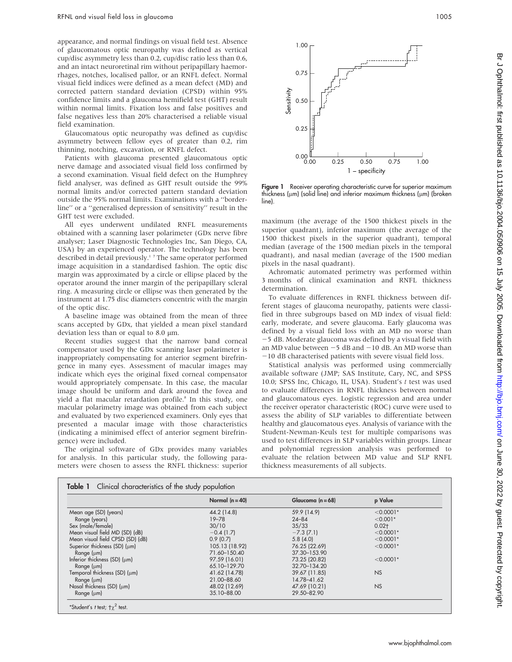appearance, and normal findings on visual field test. Absence of glaucomatous optic neuropathy was defined as vertical cup/disc asymmetry less than 0.2, cup/disc ratio less than 0.6, and an intact neuroretinal rim without peripapillary haemorrhages, notches, localised pallor, or an RNFL defect. Normal visual field indices were defined as a mean defect (MD) and corrected pattern standard deviation (CPSD) within 95% confidence limits and a glaucoma hemifield test (GHT) result within normal limits. Fixation loss and false positives and false negatives less than 20% characterised a reliable visual field examination.

Glaucomatous optic neuropathy was defined as cup/disc asymmetry between fellow eyes of greater than 0.2, rim thinning, notching, excavation, or RNFL defect.

Patients with glaucoma presented glaucomatous optic nerve damage and associated visual field loss confirmed by a second examination. Visual field defect on the Humphrey field analyser, was defined as GHT result outside the 99% normal limits and/or corrected pattern standard deviation outside the 95% normal limits. Examinations with a ''borderline'' or a ''generalised depression of sensitivity'' result in the GHT test were excluded.

All eyes underwent undilated RNFL measurements obtained with a scanning laser polarimeter (GDx nerve fibre analyser; Laser Diagnostic Technologies Inc, San Diego, CA, USA) by an experienced operator. The technology has been described in detail previously.<sup>17</sup> The same operator performed image acquisition in a standardised fashion. The optic disc margin was approximated by a circle or ellipse placed by the operator around the inner margin of the peripapillary scleral ring. A measuring circle or ellipse was then generated by the instrument at 1.75 disc diameters concentric with the margin of the optic disc.

A baseline image was obtained from the mean of three scans accepted by GDx, that yielded a mean pixel standard deviation less than or equal to 8.0  $\mu$ m.

Recent studies suggest that the narrow band corneal compensator used by the GDx scanning laser polarimeter is inappropriately compensating for anterior segment birefringence in many eyes. Assessment of macular images may indicate which eyes the original fixed corneal compensator would appropriately compensate. In this case, the macular image should be uniform and dark around the fovea and yield a flat macular retardation profile.<sup>8</sup> In this study, one macular polarimetry image was obtained from each subject and evaluated by two experienced examiners. Only eyes that presented a macular image with those characteristics (indicating a minimised effect of anterior segment birefringence) were included.

The original software of GDx provides many variables for analysis. In this particular study, the following parameters were chosen to assess the RNFL thickness: superior



Figure 1 Receiver operating characteristic curve for superior maximum thickness ( $\mu$ m) (solid line) and inferior maximum thickness ( $\mu$ m) (broken line).

maximum (the average of the 1500 thickest pixels in the superior quadrant), inferior maximum (the average of the 1500 thickest pixels in the superior quadrant), temporal median (average of the 1500 median pixels in the temporal quadrant), and nasal median (average of the 1500 median pixels in the nasal quadrant).

Achromatic automated perimetry was performed within 3 months of clinical examination and RNFL thickness determination.

To evaluate differences in RNFL thickness between different stages of glaucoma neuropathy, patients were classified in three subgroups based on MD index of visual field: early, moderate, and severe glaucoma. Early glaucoma was defined by a visual field loss with an MD no worse than -5 dB. Moderate glaucoma was defined by a visual field with an MD value between  $-5$  dB and  $-10$  dB. An MD worse than  $-10$  dB characterised patients with severe visual field loss.

Statistical analysis was performed using commercially available software (JMP; SAS Institute, Cary, NC, and SPSS 10.0; SPSS Inc, Chicago, IL, USA). Student's t test was used to evaluate differences in RNFL thickness between normal and glaucomatous eyes. Logistic regression and area under the receiver operator characteristic (ROC) curve were used to assess the ability of SLP variables to differentiate between healthy and glaucomatous eyes. Analysis of variance with the Student-Newman-Keuls test for multiple comparisons was used to test differences in SLP variables within groups. Linear and polynomial regression analysis was performed to evaluate the relation between MD value and SLP RNFL thickness measurements of all subjects.

|                                      | Normal $(n = 40)$ | Glaucoma ( $n = 68$ ) | p Value     |
|--------------------------------------|-------------------|-----------------------|-------------|
| Mean age (SD) (years)                | 44.2 (14.8)       | 59.9 (14.9)           | $< 0.0001*$ |
| Range (years)                        | $19 - 78$         | $24 - 84$             | $< 0.001*$  |
| Sex (male/female)                    | 30/10             | 35/33                 | $0.02 +$    |
| Mean visual field MD (SD) (dB)       | $-0.4(1.7)$       | $-7.3(7.1)$           | $< 0.0001*$ |
| Mean visual field CPSD (SD) (dB)     | 0.9(0.7)          | 5.8(4.0)              | $< 0.0001*$ |
| Superior thickness (SD) (µm)         | 105.13 (18.92)    | 76.25 (22.69)         | $< 0.0001*$ |
| Range $(\mu m)$                      | 71.60-150.40      | 37.30-153.90          |             |
| Inferior thickness $(SD)$ ( $\mu$ m) | 97.59 (16.01)     | 73.25 (20.82)         | $< 0.0001*$ |
| $Range$ ( $µm$ )                     | 65.10-129.70      | 32.70-134.20          |             |
| Temporal thickness (SD) (µm)         | 41.62 (14.78)     | 39.67 (11.85)         | <b>NS</b>   |
| $Range$ ( $µm$ )                     | 21.00-88.60       | 14.78-41.62           |             |
| Nasal thickness (SD) (um)            | 48.02 (12.69)     | 47.69 (10.21)         | NS          |
| Range $(\mu m)$                      | 35.10-88.00       | 29.50-82.90           |             |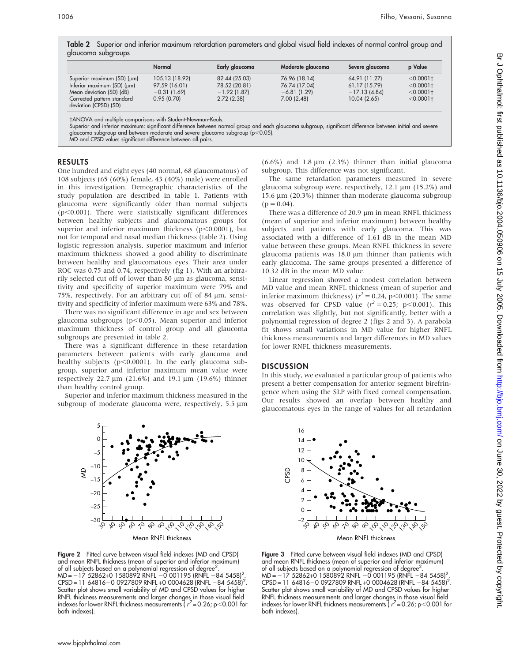Table 2 Superior and inferior maximum retardation parameters and global visual field indexes of normal control group and glaucoma subgroups

|                                                                                                                                                     | Normal                                                         | Early glaucoma                                                 | Moderate glaucoma                                             | Severe glaucoma                                                  | <b>p</b> Value                                               |
|-----------------------------------------------------------------------------------------------------------------------------------------------------|----------------------------------------------------------------|----------------------------------------------------------------|---------------------------------------------------------------|------------------------------------------------------------------|--------------------------------------------------------------|
| Superior maximum (SD) (um)<br>Inferior maximum $(SD)$ ( $\mu$ m)<br>Mean deviation (SD) (dB)<br>Corrected pattern standard<br>deviation (CPSD) (SD) | 105.13 (18.92)<br>97.59 (16.01)<br>$-0.31(1.69)$<br>0.95(0.70) | 82.44 (25.03)<br>78.52 (20.81)<br>$-1.92$ (1.87)<br>2.72(2.38) | 76.96 (18.14)<br>76.74 (17.04)<br>$-6.81(1.29)$<br>7.00(2.48) | 64.91 (11.27)<br>61.17 (15.79)<br>$-17.13(4.84)$<br>10.04 (2.65) | $< 0.0001$ +<br>$< 0.0001$ +<br>$< 0.0001$ +<br>$< 0.0001$ + |

ANOVA and multiple comparisons with Student-Newman-Keuls.

Superior and inferior maximum: significant difference between normal group and each glaucoma subgroup, significant difference between initial and severe glaucoma subgroup and between moderate and severe glaucoma subgroup (p $<$ 0.05).

MD and CPSD value: significant difference between all pairs.

#### RESULTS

One hundred and eight eyes (40 normal, 68 glaucomatous) of 108 subjects (65 (60%) female, 43 (40%) male) were enrolled in this investigation. Demographic characteristics of the study population are described in table 1. Patients with glaucoma were significantly older than normal subjects  $(p<0.001)$ . There were statistically significant differences between healthy subjects and glaucomatous groups for superior and inferior maximum thickness ( $p$ <0.0001), but not for temporal and nasal median thickness (table 2). Using logistic regression analysis, superior maximum and inferior maximum thickness showed a good ability to discriminate between healthy and glaucomatous eyes. Their area under ROC was 0.75 and 0.74, respectively (fig 1). With an arbitrarily selected cut off of lower than 80 µm as glaucoma, sensitivity and specificity of superior maximum were 79% and 75%, respectively. For an arbitrary cut off of 84 µm, sensitivity and specificity of inferior maximum were 63% and 78%.

There was no significant difference in age and sex between glaucoma subgroups ( $p$ <0.05). Mean superior and inferior maximum thickness of control group and all glaucoma subgroups are presented in table 2.

There was a significant difference in these retardation parameters between patients with early glaucoma and healthy subjects ( $p<0.0001$ ). In the early glaucoma subgroup, superior and inferior maximum mean value were respectively  $22.7 \mu m$  (21.6%) and 19.1  $\mu m$  (19.6%) thinner than healthy control group.

Superior and inferior maximum thickness measured in the subgroup of moderate glaucoma were, respectively, 5.5  $\mu$ m



Figure 2 Fitted curve between visual field indexes (MD and CPSD) and mean RNFL thickness (mean of superior and inferior maximum) of all subjects based on a polynomial regression of degree<sup>2</sup> of all subjects based on a polynomial regression of degree<sup>2</sup>.<br>MD=–17 52862+0 1580892 RNFL –0 001195 (RNFL –84 5458)<sup>2</sup> MD=–17 52862+0 1580892 RNFL -0 001195 (RNFL -84 5458)<sup>2</sup>.<br>CPSD=11 64816-0 0927809 RNFL+0 0004628 (RNFL -84 5458)<sup>2</sup>. Scatter plot shows small variability of MD and CPSD values for higher RNFL thickness measurements and larger changes in those visual field indexes for lower RNFL thickness measurements ( $r^2$  = 0.26; p<0.001 for both indexes).

(6.6%) and 1.8  $\mu$ m (2.3%) thinner than initial glaucoma subgroup. This difference was not significant.

The same retardation parameters measured in severe glaucoma subgroup were, respectively,  $12.1 \mu m$  (15.2%) and 15.6  $\mu$ m (20.3%) thinner than moderate glaucoma subgroup  $(p = 0.04)$ .

There was a difference of 20.9  $\mu$ m in mean RNFL thickness (mean of superior and inferior maximum) between healthy subjects and patients with early glaucoma. This was associated with a difference of 1.61 dB in the mean MD value between these groups. Mean RNFL thickness in severe glaucoma patients was  $18.0 \text{ }\mu\text{m}$  thinner than patients with early glaucoma. The same groups presented a difference of 10.32 dB in the mean MD value.

Linear regression showed a modest correlation between MD value and mean RNFL thickness (mean of superior and inferior maximum thickness) ( $r^2 = 0.24$ , p<0.001). The same was observed for CPSD value  $(r^2 = 0.25; \, p < 0.001)$ . This correlation was slightly, but not significantly, better with a polynomial regression of degree 2 (figs 2 and 3). A parabola fit shows small variations in MD value for higher RNFL thickness measurements and larger differences in MD values for lower RNFL thickness measurements.

#### **DISCUSSION**

In this study, we evaluated a particular group of patients who present a better compensation for anterior segment birefringence when using the SLP with fixed corneal compensation. Our results showed an overlap between healthy and glaucomatous eyes in the range of values for all retardation

16 14 12 10 8 6 4 2  $\overline{0}$ –2 150 Mean RNFL thickness CPSD  $\mathcal{C}$ 1010 ್ತಿ 18 30 40  $\varphi$  $\delta$ 70 80 90

Figure 3 Fitted curve between visual field indexes (MD and CPSD) and mean RNFL thickness (mean of superior and inferior maximum) of all subjects based on a polynomial regression of degree<sup>2</sup> .  $MD = -17$  52862+0 1580892 RNFL  $-0$  001195 (RNFL  $-84$  5458)<sup>2</sup> MD= –17 52862+0 1580892 RNFL –0 001195 (RNFL –84 5458)<sup>2</sup>.<br>CPSD=11 64816–0 0927809 RNFL+0 0004628 (RNFL –84 5458)<sup>2</sup>. Scatter plot shows small variability of MD and CPSD values for higher RNFL thickness measurements and larger changes in those visual field indexes for lower RNFL thickness measurements ( $r^2$  = 0.26; p<0.001 for both indexes).